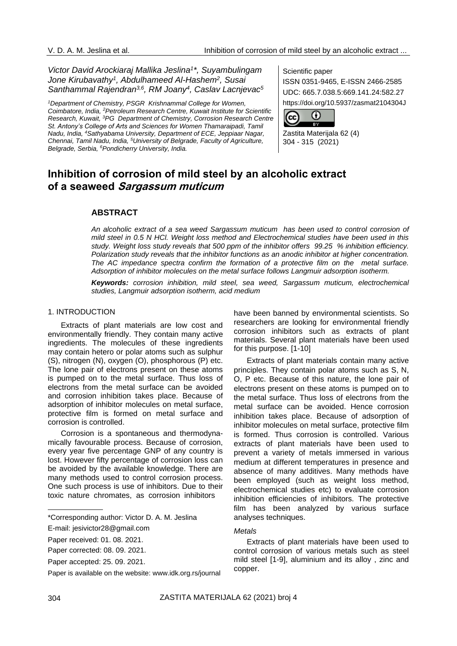# *Victor David Arockiaraj Mallika Jeslina<sup>1</sup> \*, Suyambulingam Jone Kirubavathy<sup>1</sup> , Abdulhameed Al-Hashem<sup>2</sup> , Susai Santhammal Rajendran3,6 , RM Joany<sup>4</sup> , Caslav Lacnjevac<sup>5</sup>*

*<sup>1</sup>Department of Chemistry, PSGR Krishnammal College for Women, Coimbatore, India, <sup>2</sup>Petroleum Research Centre, Kuwait Institute for Scientific Research, Kuwait, <sup>3</sup>PG Department of Chemistry, Corrosion Research Centre St. Antony's College of Arts and Sciences for Women Thamaraipadi, Tamil Nadu, India, <sup>4</sup>Sathyabama University, Department of ECE, Jeppiaar Nagar, Chennai, Tamil Nadu, India, <sup>5</sup>University of Belgrade, Faculty of Agriculture, Belgrade, Serbia, <sup>6</sup>Pondicherry University, India.*

Scientific paper

ISSN 0351-9465, E-ISSN 2466-2585 UDC: 665.7.038.5:669.141.24:582.27 https://doi.org/10.5937/zasmat2104304J



Zastita Materijala 62 (4) 304 - 315 (2021)

# **Inhibition of corrosion of mild steel by an alcoholic extract of a seaweed Sargassum muticum**

# **ABSTRACT**

*An alcoholic extract of a sea weed Sargassum muticum has been used to control corrosion of mild steel in 0.5 N HCl. Weight loss method and Electrochemical studies have been used in this study. Weight loss study reveals that 500 ppm of the inhibitor offers 99.25 % inhibition efficiency. Polarization study reveals that the inhibitor functions as an anodic inhibitor at higher concentration. The AC impedance spectra confirm the formation of a protective film on the metal surface. Adsorption of inhibitor molecules on the metal surface follows Langmuir adsorption isotherm.*

*Keywords: corrosion inhibition, mild steel, sea weed, Sargassum muticum, electrochemical studies, Langmuir adsorption isotherm, acid medium*

#### 1. INTRODUCTION

Extracts of plant materials are low cost and environmentally friendly. They contain many active ingredients. The molecules of these ingredients may contain hetero or polar atoms such as sulphur (S), nitrogen (N), oxygen (O), phosphorous (P) etc. The lone pair of electrons present on these atoms is pumped on to the metal surface. Thus loss of electrons from the metal surface can be avoided and corrosion inhibition takes place. Because of adsorption of inhibitor molecules on metal surface, protective film is formed on metal surface and corrosion is controlled.

Corrosion is a spontaneous and thermodynamically favourable process. Because of corrosion, every year five percentage GNP of any country is lost. However fifty percentage of corrosion loss can be avoided by the available knowledge. There are many methods used to control corrosion process. One such process is use of inhibitors. Due to their toxic nature chromates, as corrosion inhibitors

have been banned by environmental scientists. So researchers are looking for environmental friendly corrosion inhibitors such as extracts of plant materials. Several plant materials have been used for this purpose. [1-10]

Extracts of plant materials contain many active principles. They contain polar atoms such as S, N, O, P etc. Because of this nature, the lone pair of electrons present on these atoms is pumped on to the metal surface. Thus loss of electrons from the metal surface can be avoided. Hence corrosion inhibition takes place. Because of adsorption of inhibitor molecules on metal surface, protective film is formed. Thus corrosion is controlled. Various extracts of plant materials have been used to prevent a variety of metals immersed in various medium at different temperatures in presence and absence of many additives. Many methods have been employed (such as weight loss method, electrochemical studies etc) to evaluate corrosion inhibition efficiencies of inhibitors. The protective film has been analyzed by various surface analyses techniques.

#### *Metals*

Extracts of plant materials have been used to control corrosion of various metals such as steel mild steel [1-9], aluminium and its alloy , zinc and copper.

<sup>\*</sup>Corresponding author: Victor D. A. M. Jeslina

E-mail: [jesivictor28@gmail.com](mailto:jesivictor28@gmail.com)

Paper received: 01. 08. 2021.

Paper corrected: 08. 09. 2021.

Paper accepted: 25. 09. 2021.

Paper is available on the website: [www.idk.org.rs/journal](http://www.idk.org.rs/journal)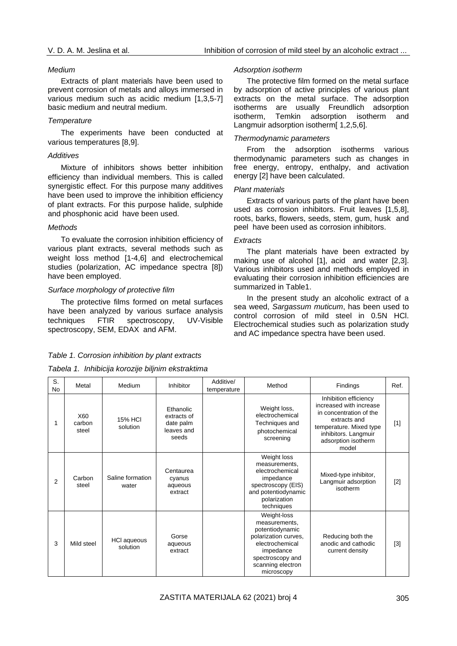#### *Medium*

Extracts of plant materials have been used to prevent corrosion of metals and alloys immersed in various medium such as acidic medium [1,3,5-7] basic medium and neutral medium.

#### *Temperature*

The experiments have been conducted at various temperatures [8,9].

## *Additives*

Mixture of inhibitors shows better inhibition efficiency than individual members. This is called synergistic effect. For this purpose many additives have been used to improve the inhibition efficiency of plant extracts. For this purpose halide, sulphide and phosphonic acid have been used.

## *Methods*

To evaluate the corrosion inhibition efficiency of various plant extracts, several methods such as weight loss method [1-4,6] and electrochemical studies (polarization, AC impedance spectra [8]) have been employed.

## *Surface morphology of protective film*

The protective films formed on metal surfaces have been analyzed by various surface analysis techniques FTIR spectroscopy, UV-Visible spectroscopy, SEM, EDAX and AFM.

## *Adsorption isotherm*

The protective film formed on the metal surface by adsorption of active principles of various plant extracts on the metal surface. The adsorption isotherms are usually Freundlich adsorption isotherm, Temkin adsorption isotherm and Langmuir adsorption isotherm[ 1,2,5,6].

# *Thermodynamic parameters*

From the adsorption isotherms various thermodynamic parameters such as changes in free energy, entropy, enthalpy, and activation energy [2] have been calculated.

## *Plant materials*

Extracts of various parts of the plant have been used as corrosion inhibitors. Fruit leaves [1,5,8], roots, barks, flowers, seeds, stem, gum, husk and peel have been used as corrosion inhibitors.

## *Extracts*

The plant materials have been extracted by making use of alcohol [1], acid and water [2,3]. Various inhibitors used and methods employed in evaluating their corrosion inhibition efficiencies are summarized in Table1.

In the present study an alcoholic extract of a sea weed, *Sargassum muticum*, has been used to control corrosion of mild steel in 0.5N HCl. Electrochemical studies such as polarization study and AC impedance spectra have been used.

#### *Table 1. Corrosion inhibition by plant extracts*

# *Tabela 1. Inhibicija korozije biljnim ekstraktima*

| S.<br><b>No</b> | Metal                  | Medium                     | Inhibitor                                                    | Additive/<br>temperature | Method                                                                                                                                                         | Findings                                                                                                                                                                       | Ref.              |
|-----------------|------------------------|----------------------------|--------------------------------------------------------------|--------------------------|----------------------------------------------------------------------------------------------------------------------------------------------------------------|--------------------------------------------------------------------------------------------------------------------------------------------------------------------------------|-------------------|
| 1               | X60<br>carbon<br>steel | <b>15% HCI</b><br>solution | Ethanolic<br>extracts of<br>date palm<br>leaves and<br>seeds |                          | Weight loss,<br>electrochemical<br>Techniques and<br>photochemical<br>screening                                                                                | Inhibition efficiency<br>increased with increase<br>in concentration of the<br>extracts and<br>temperature. Mixed type<br>inhibitors. Langmuir<br>adsorption isotherm<br>model | $[1]$             |
| $\overline{2}$  | Carbon<br>steel        | Saline formation<br>water  | Centaurea<br>cyanus<br>aqueous<br>extract                    |                          | Weight loss<br>measurements,<br>electrochemical<br>impedance<br>spectroscopy (EIS)<br>and potentiodynamic<br>polarization<br>techniques                        | Mixed-type inhibitor,<br>Langmuir adsorption<br>isotherm                                                                                                                       | $[2]$             |
| 3               | Mild steel             | HCI aqueous<br>solution    | Gorse<br>aqueous<br>extract                                  |                          | Weight-loss<br>measurements,<br>potentiodynamic<br>polarization curves,<br>electrochemical<br>impedance<br>spectroscopy and<br>scanning electron<br>microscopy | Reducing both the<br>anodic and cathodic<br>current density                                                                                                                    | $\lceil 3 \rceil$ |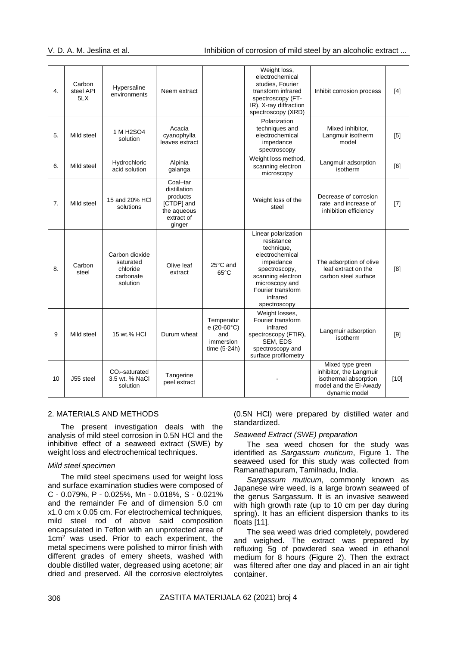| 4. | Carbon<br>steel API<br>5LX | Hypersaline<br>environments                                      | Neem extract                                                                              |                                                                       | Weight loss,<br>electrochemical<br>studies. Fourier<br>transform infrared<br>spectroscopy (FT-<br>IR), X-ray diffraction<br>spectroscopy (XRD)                                           | Inhibit corrosion process                                                                                       | [4]    |
|----|----------------------------|------------------------------------------------------------------|-------------------------------------------------------------------------------------------|-----------------------------------------------------------------------|------------------------------------------------------------------------------------------------------------------------------------------------------------------------------------------|-----------------------------------------------------------------------------------------------------------------|--------|
| 5. | Mild steel                 | 1 M H <sub>2</sub> SO <sub>4</sub><br>solution                   | Acacia<br>cyanophylla<br>leaves extract                                                   |                                                                       | Polarization<br>techniques and<br>electrochemical<br>impedance<br>spectroscopy                                                                                                           | Mixed inhibitor,<br>Langmuir isotherm<br>model                                                                  | [5]    |
| 6. | Mild steel                 | Hydrochloric<br>acid solution                                    | Alpinia<br>galanga                                                                        |                                                                       | Weight loss method,<br>scanning electron<br>microscopy                                                                                                                                   | Langmuir adsorption<br>isotherm                                                                                 | [6]    |
| 7. | Mild steel                 | 15 and 20% HCI<br>solutions                                      | Coal-tar<br>distillation<br>products<br>[CTDP] and<br>the aqueous<br>extract of<br>ginger |                                                                       | Weight loss of the<br>steel                                                                                                                                                              | Decrease of corrosion<br>rate and increase of<br>inhibition efficiency                                          | $[7]$  |
| 8. | Carbon<br>steel            | Carbon dioxide<br>saturated<br>chloride<br>carbonate<br>solution | Olive leaf<br>extract                                                                     | 25°C and<br>$65^{\circ}$ C                                            | Linear polarization<br>resistance<br>technique,<br>electrochemical<br>impedance<br>spectroscopy,<br>scanning electron<br>microscopy and<br>Fourier transform<br>infrared<br>spectroscopy | The adsorption of olive<br>leaf extract on the<br>carbon steel surface                                          | [8]    |
| 9  | Mild steel                 | 15 wt.% HCI                                                      | Durum wheat                                                                               | Temperatur<br>$e(20-60^{\circ}C)$<br>and<br>immersion<br>time (5-24h) | Weight losses,<br>Fourier transform<br>infrared<br>spectroscopy (FTIR),<br>SEM, EDS<br>spectroscopy and<br>surface profilometry                                                          | Langmuir adsorption<br>isotherm                                                                                 | $[9]$  |
| 10 | J55 steel                  | $CO2$ -saturated<br>3.5 wt. % NaCl<br>solution                   | Tangerine<br>peel extract                                                                 |                                                                       |                                                                                                                                                                                          | Mixed type green<br>inhibitor, the Langmuir<br>isothermal absorption<br>model and the EI-Awady<br>dynamic model | $[10]$ |

#### 2. MATERIALS AND METHODS

The present investigation deals with the analysis of mild steel corrosion in 0.5N HCl and the inhibitive effect of a seaweed extract (SWE) by weight loss and electrochemical techniques.

# *Mild steel specimen*

The mild steel specimens used for weight loss and surface examination studies were composed of C - 0.079%, P - 0.025%, Mn - 0.018%, S - 0.021% and the remainder Fe and of dimension 5.0 cm x1.0 cm x 0.05 cm. For electrochemical techniques, mild steel rod of above said composition encapsulated in Teflon with an unprotected area of 1cm<sup>2</sup> was used. Prior to each experiment, the metal specimens were polished to mirror finish with different grades of emery sheets, washed with double distilled water, degreased using acetone; air dried and preserved. All the corrosive electrolytes

(0.5N HCl) were prepared by distilled water and standardized.

#### *Seaweed Extract (SWE) preparation*

The sea weed chosen for the study was identified as *Sargassum muticum*, Figure 1. The seaweed used for this study was collected from Ramanathapuram, Tamilnadu, India.

*Sargassum muticum*, commonly known as Japanese wire weed, is a large brown seaweed of the genus Sargassum. It is an invasive seaweed with high growth rate (up to 10 cm per day during spring). It has an efficient dispersion thanks to its floats [11].

The sea weed was dried completely, powdered and weighed. The extract was prepared by refluxing 5g of powdered sea weed in ethanol medium for 8 hours (Figure 2). Then the extract was filtered after one day and placed in an air tight container.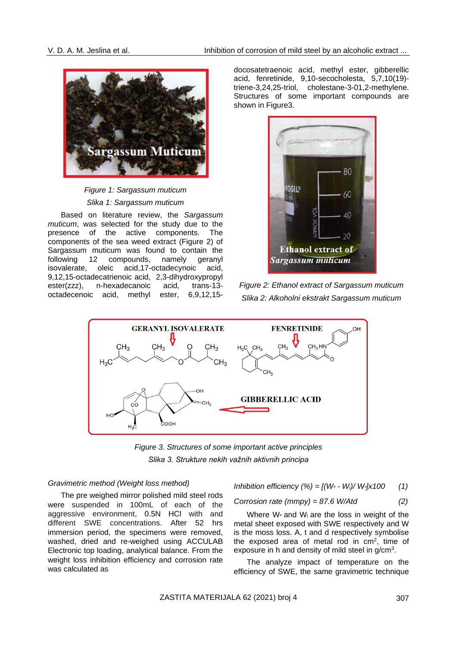

*Figure 1: Sargassum muticum Slika 1: Sargassum muticum*

Based on literature review, the *Sargassum muticum*, was selected for the study due to the presence of the active components. The components of the sea weed extract (Figure 2) of Sargassum muticum was found to contain the<br>following 12 compounds, namely geranyl following 12 compounds, namely geranyl isovalerate, oleic acid,17-octadecynoic acid, 9,12,15-octadecatrienoic acid, 2,3-dihydroxypropyl ester(zzz), n-hexadecanoic acid, trans-13 octadecenoic acid, methyl ester, 6,9,12,15docosatetraenoic acid, methyl ester, gibberellic acid, fenretinide, 9,10-secocholesta, 5,7,10(19) triene-3,24,25-triol, cholestane-3-01,2-methylene. Structures of some important compounds are shown in Figure3.



*Figure 2: Ethanol extract of Sargassum muticum Slika 2: Alkoholni ekstrakt Sargassum muticum*



*Figure 3. Structures of some important active principles Slika 3. Strukture nekih važnih aktivnih principa*

#### *Gravimetric method (Weight loss method)*

The pre weighed mirror polished mild steel rods were suspended in 100mL of each of the aggressive environment, 0.5N HCl with and different SWE concentrations. After 52 hrs immersion period, the specimens were removed, washed, dried and re-weighed using ACCULAB Electronic top loading, analytical balance. From the weight loss inhibition efficiency and corrosion rate was calculated as

Inhibition efficiency 
$$
(\%) = [(W \circ - W_i) / W \circ ] \times 100
$$
 (1)

Corrosion rate 
$$
(mmpy) = 87.6 W/Atd
$$
 (2)

Where  $W_0$  and  $W_i$  are the loss in weight of the metal sheet exposed with SWE respectively and W is the moss loss. A, t and d respectively symbolise the exposed area of metal rod in  $cm<sup>2</sup>$ , time of exposure in h and density of mild steel in  $g/cm<sup>3</sup>$ .

The analyze impact of temperature on the efficiency of SWE, the same gravimetric technique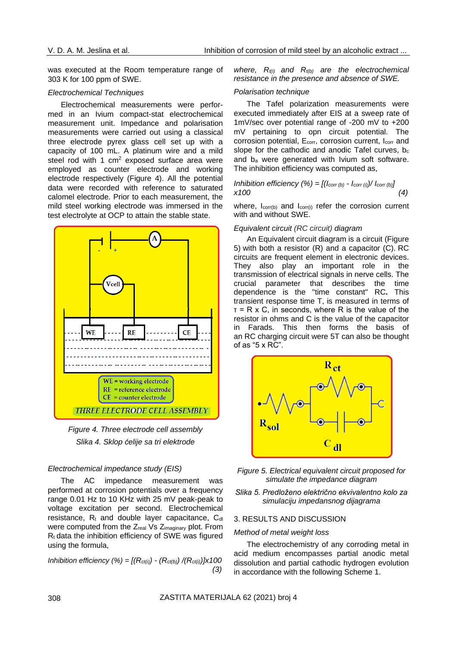was executed at the Room temperature range of 303 K for 100 ppm of SWE.

#### *Electrochemical Techniques*

Electrochemical measurements were performed in an Ivium compact-stat electrochemical measurement unit. Impedance and polarisation measurements were carried out using a classical three electrode pyrex glass cell set up with a capacity of 100 mL. A platinum wire and a mild steel rod with 1  $\text{cm}^2$  exposed surface area were employed as counter electrode and working electrode respectively (Figure 4). All the potential data were recorded with reference to saturated calomel electrode. Prior to each measurement, the mild steel working electrode was immersed in the test electrolyte at OCP to attain the stable state.



*Figure 4. Three electrode cell assembly Slika 4. Sklop ćelije sa tri elektrode*

#### *Electrochemical impedance study (EIS)*

The AC impedance measurement was performed at corrosion potentials over a frequency range 0.01 Hz to 10 KHz with 25 mV peak-peak to voltage excitation per second. Electrochemical resistance,  $R_t$  and double layer capacitance,  $C_{dl}$ were computed from the Z<sub>real</sub> Vs Z<sub>imaginary</sub> plot. From  $R_t$  data the inhibition efficiency of SWE was figured using the formula,

*Inhibition efficiency (%) = [(Rct(i)) - (Rct(b)) /(Rct(i))]x100 (3)*

*where, Rt(i) and Rt(b) are the electrochemical resistance in the presence and absence of SWE.*

#### *Polarisation technique*

The Tafel polarization measurements were executed immediately after EIS at a sweep rate of 1mV/sec over potential range of -200 mV to +200 mV pertaining to opn circuit potential. The corrosion potential,  $E_{corr}$ , corrosion current,  $I_{corr}$  and slope for the cathodic and anodic Tafel curves,  $b_c$ and  $b_a$  were generated with Ivium soft software. The inhibition efficiency was computed as,

*Inhibition efficiency* 
$$
(\%) = [(\text{loor (b)} - \text{loor (i)}) / \text{loor (b)}]
$$
  
x100 (4)

where,  $I_{\text{corr(b)}}$  and  $I_{\text{corr(i)}}$  refer the corrosion current with and without SWE.

#### *Equivalent circuit (RC circuit) diagram*

An Equivalent circuit diagram is a circuit (Figure 5) with both a resistor (R) and a capacitor (C). RC circuits are frequent element in electronic devices. They also play an important role in the transmission of electrical signals in nerve cells. The crucial parameter that describes the time dependence is the "time constant" RC**.** This transient response time T, is measured in terms of  $T = R \times C$ , in seconds, where R is the value of the resistor in ohms and C is the value of the capacitor in Farads. This then forms the basis of an RC charging circuit were 5T can also be thought of as "5 x RC".





*Slika 5. Predloženo električno ekvivalentno kolo za simulaciju impedansnog dijagrama*

#### 3. RESULTS AND DISCUSSION

#### *Method of metal weight loss*

The electrochemistry of any corroding metal in acid medium encompasses partial anodic metal dissolution and partial cathodic hydrogen evolution in accordance with the following Scheme 1.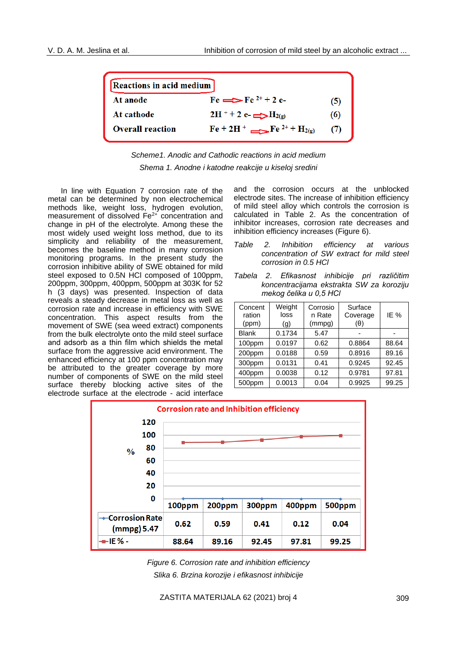| Reactions in acid medium |                                                                                           |     |  |  |  |
|--------------------------|-------------------------------------------------------------------------------------------|-----|--|--|--|
| At anode                 | $Fe \rightleftharpoons Fe^{2+} + 2 e$                                                     | (5) |  |  |  |
| At cathode               | $2H^+ + 2e^ \longrightarrow$ $H_{2(g)}$                                                   | (6) |  |  |  |
| <b>Overall reaction</b>  | $\text{Fe} + 2\text{H}^+$ $\longrightarrow$ $\text{Fe}$ <sup>2+</sup> + H <sub>2(g)</sub> | (7) |  |  |  |



In line with Equation 7 corrosion rate of the metal can be determined by non electrochemical methods like, weight loss, hydrogen evolution, measurement of dissolved Fe2+ concentration and change in pH of the electrolyte. Among these the most widely used weight loss method, due to its simplicity and reliability of the measurement, becomes the baseline method in many corrosion monitoring programs. In the present study the corrosion inhibitive ability of SWE obtained for mild steel exposed to 0.5N HCl composed of 100ppm, 200ppm, 300ppm, 400ppm, 500ppm at 303K for 52 h (3 days) was presented. Inspection of data reveals a steady decrease in metal loss as well as corrosion rate and increase in efficiency with SWE concentration. This aspect results from the movement of SWE (sea weed extract) components from the bulk electrolyte onto the mild steel surface and adsorb as a thin film which shields the metal surface from the aggressive acid environment. The enhanced efficiency at 100 ppm concentration may be attributed to the greater coverage by more number of components of SWE on the mild steel surface thereby blocking active sites of the electrode surface at the electrode - acid interface

and the corrosion occurs at the unblocked electrode sites. The increase of inhibition efficiency of mild steel alloy which controls the corrosion is calculated in Table 2. As the concentration of inhibitor increases, corrosion rate decreases and inhibition efficiency increases (Figure 6).

- *Table 2. Inhibition efficiency at various concentration of SW extract for mild steel corrosion in 0.5 HCl*
- *Tabela 2. Efikasnost inhibicije pri različitim koncentracijama ekstrakta SW za koroziju mekog čelika u 0,5 HCl*

| Concent<br>ration<br>(ppm) | Weight<br>loss<br>(g) | Corrosio<br>n Rate<br>(mmpg) | Surface<br>Coverage<br>$(\theta)$ | IE %  |
|----------------------------|-----------------------|------------------------------|-----------------------------------|-------|
| <b>Blank</b>               | 0.1734                | 5.47                         |                                   |       |
| 100ppm                     | 0.0197                | 0.62                         | 0.8864                            | 88.64 |
| 200ppm                     | 0.0188                | 0.59                         | 0.8916                            | 89.16 |
| 300ppm                     | 0.0131                | 0.41                         | 0.9245                            | 92.45 |
| 400ppm                     | 0.0038                | 0.12                         | 0.9781                            | 97.81 |
| 500ppm                     | 0.0013                | 0.04                         | 0.9925                            | 99.25 |



*Figure 6. Corrosion rate and inhibition efficiency Slika 6. Brzina korozije i efikasnost inhibicije*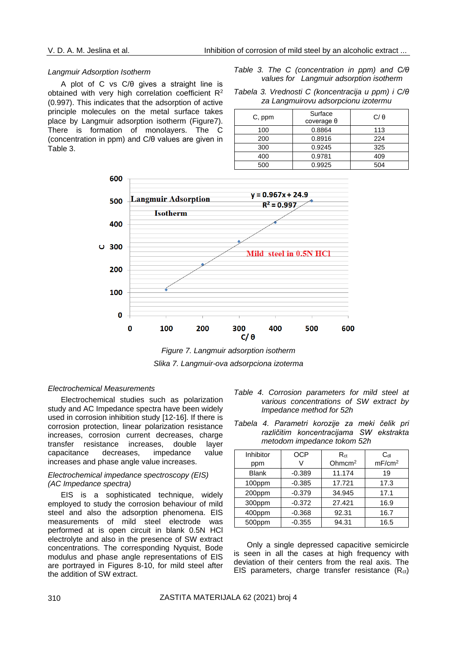#### *Langmuir Adsorption Isotherm*

A plot of C vs C/θ gives a straight line is obtained with very high correlation coefficient R<sup>2</sup> (0.997). This indicates that the adsorption of active principle molecules on the metal surface takes place by Langmuir adsorption isotherm (Figure7). There is formation of monolayers. The C (concentration in ppm) and C/θ values are given in Table 3.

*Table 3. The C (concentration in ppm) and C/θ values for Langmuir adsorption isotherm*

|  | Tabela 3. Vrednosti C (koncentracija u ppm) i C/ $\theta$ |
|--|-----------------------------------------------------------|
|  | za Langmuirovu adsorpcionu izotermu                       |

| C, ppm | Surface<br>$coverage\theta$ | $C/\theta$ |
|--------|-----------------------------|------------|
| 100    | 0.8864                      | 113        |
| 200    | 0.8916                      | 224        |
| 300    | 0.9245                      | 325        |
| 400    | 0.9781                      | 409        |
| 500    | 0.9925                      | 504        |



*Figure 7. Langmuir adsorption isotherm Slika 7. Langmuir-ova adsorpciona izoterma*

#### *Electrochemical Measurements*

Electrochemical studies such as polarization study and AC Impedance spectra have been widely used in corrosion inhibition study [12-16]. If there is corrosion protection, linear polarization resistance increases, corrosion current decreases, charge transfer resistance increases, double layer capacitance decreases, impedance value increases and phase angle value increases.

## *Electrochemical impedance spectroscopy (EIS) (AC Impedance spectra)*

EIS is a sophisticated technique, widely employed to study the corrosion behaviour of mild steel and also the adsorption phenomena. EIS measurements of mild steel electrode was performed at is open circuit in blank 0.5N HCl electrolyte and also in the presence of SW extract concentrations. The corresponding Nyquist, Bode modulus and phase angle representations of EIS are portrayed in Figures 8-10, for mild steel after the addition of SW extract.

- *Table 4. Corrosion parameters for mild steel at various concentrations of SW extract by Impedance method for 52h*
- *Tabela 4. Parametri korozije za meki čelik pri različitim koncentracijama SW ekstrakta metodom impedance tokom 52h*

| Inhibitor    | <b>OCP</b> | $R_{ct}$  | $C_{dl}$           |
|--------------|------------|-----------|--------------------|
| ppm          |            | Ohmc $m2$ | mF/cm <sup>2</sup> |
| <b>Blank</b> | $-0.389$   | 11.174    | 19                 |
| 100ppm       | $-0.385$   | 17.721    | 17.3               |
| 200ppm       | $-0.379$   | 34.945    | 17.1               |
| 300ppm       | $-0.372$   | 27.421    | 16.9               |
| 400ppm       | $-0.368$   | 92.31     | 16.7               |
| 500ppm       | $-0.355$   | 94.31     | 16.5               |

Only a single depressed capacitive semicircle is seen in all the cases at high frequency with deviation of their centers from the real axis. The EIS parameters, charge transfer resistance  $(R<sub>ct</sub>)$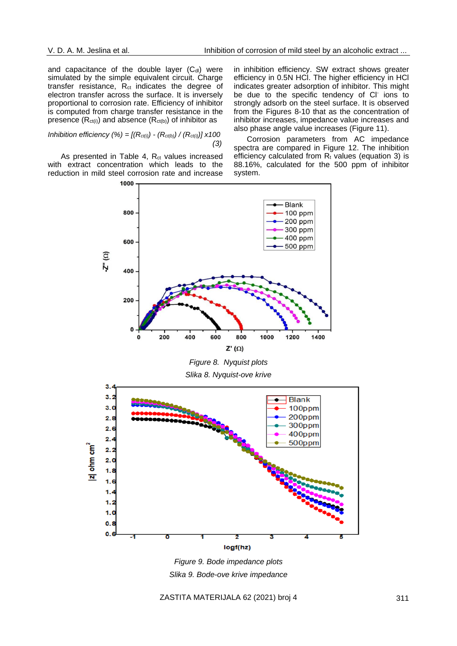and capacitance of the double layer  $(C_{\text{dl}})$  were simulated by the simple equivalent circuit. Charge transfer resistance,  $R_{ct}$  indicates the degree of electron transfer across the surface. It is inversely proportional to corrosion rate. Efficiency of inhibitor is computed from charge transfer resistance in the presence  $(R_{ct(i)})$  and absence  $(R_{ct(b)})$  of inhibitor as

#### *Inhibition efficiency (%) = [(Rct(i)) - (Rct(b)) / (Rct(i))] x100 (3)*

As presented in Table 4,  $R_{ct}$  values increased with extract concentration which leads to the reduction in mild steel corrosion rate and increase in inhibition efficiency. SW extract shows greater efficiency in 0.5N HCl. The higher efficiency in HCl indicates greater adsorption of inhibitor. This might be due to the specific tendency of CI ions to strongly adsorb on the steel surface. It is observed from the Figures 8-10 that as the concentration of inhibitor increases, impedance value increases and also phase angle value increases (Figure 11).

Corrosion parameters from AC impedance spectra are compared in Figure 12. The inhibition efficiency calculated from  $R_t$  values (equation 3) is 88.16%, calculated for the 500 ppm of inhibitor system.



*Figure 8. Nyquist plots*

*Slika 8. Nyquist-ove krive*



*Figure 9. Bode impedance plots Slika 9. Bode-ove krive impedance*

ZASTITA MATERIJALA 62 (2021) broj 4 311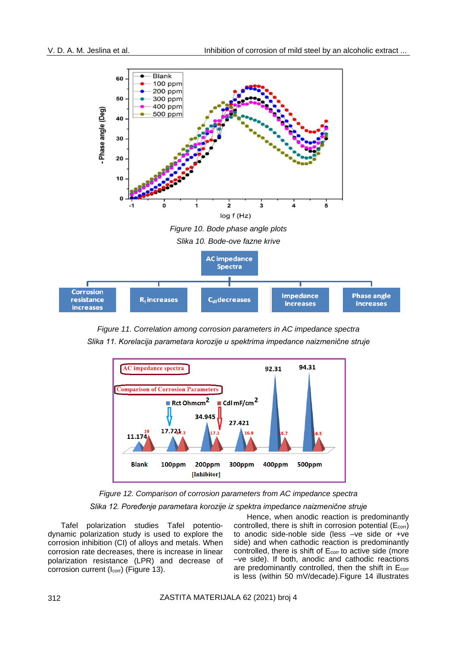

*Figure 11. Correlation among corrosion parameters in AC impedance spectra Slika 11. Korelacija parametara korozije u spektrima impedance naizmenične struje*



*Figure 12. Comparison of corrosion parameters from AC impedance spectra Slika 12. Poređenje parametara korozije iz spektra impedance naizmenične struje*

Tafel polarization studies Tafel potentiodynamic polarization study is used to explore the corrosion inhibition (CI) of alloys and metals. When corrosion rate decreases, there is increase in linear polarization resistance (LPR) and decrease of corrosion current (I<sub>corr</sub>) (Figure 13).

Hence, when anodic reaction is predominantly controlled, there is shift in corrosion potential  $(E_{\text{corr}})$ to anodic side-noble side (less –ve side or +ve side) and when cathodic reaction is predominantly controlled, there is shift of  $E_{corr}$  to active side (more –ve side). If both, anodic and cathodic reactions are predominantly controlled, then the shift in  $E<sub>corr</sub>$ is less (within 50 mV/decade).Figure 14 illustrates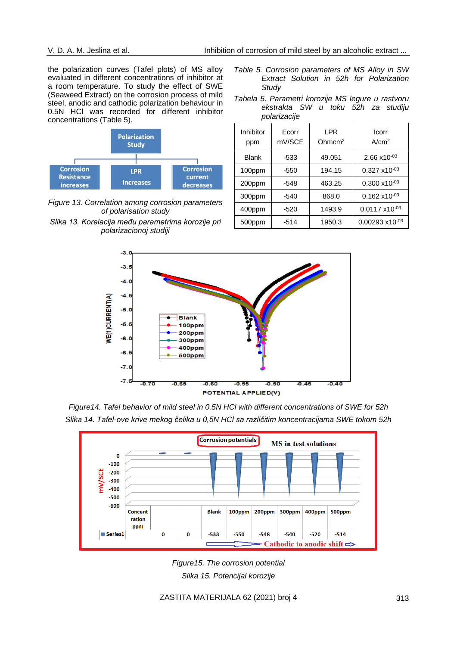the polarization curves (Tafel plots) of MS alloy evaluated in different concentrations of inhibitor at a room temperature. To study the effect of SWE (Seaweed Extract) on the corrosion process of mild steel, anodic and cathodic polarization behaviour in 0.5N HCl was recorded for different inhibitor concentrations (Table 5).



*Figure 13. Correlation among corrosion parameters of polarisation study Slika 13. Korelacija među parametrima korozije pri polarizacionoj studiji*

- *Table 5. Corrosion parameters of MS Alloy in SW Extract Solution in 52h for Polarization Study*
- *Tabela 5. Parametri korozije MS legure u rastvoru ekstrakta SW u toku 52h za studiju polarizacije*

| Inhibitor<br>ppm | Ecorr<br>mV/SCE | <b>LPR</b><br>Ohmcm <sup>2</sup> | Icorr<br>A/cm <sup>2</sup> |  |  |
|------------------|-----------------|----------------------------------|----------------------------|--|--|
| <b>Blank</b>     | -533            | 49.051                           | $2.66 \times 10^{-03}$     |  |  |
| 100ppm           | $-550$          | 194.15                           | $0.327 \times 10^{-03}$    |  |  |
| 200ppm           | $-548$          | 463.25                           | $0.300 \times 10^{-03}$    |  |  |
| 300ppm           | $-540$          | 868.0                            | $0.162 \times 10^{-03}$    |  |  |
| 400ppm           | $-520$          | 1493.9                           | $0.0117 \times 10^{-03}$   |  |  |
| 500ppm           | $-514$          | 1950.3                           | $0.00293 \times 10^{-03}$  |  |  |



*Figure14. Tafel behavior of mild steel in 0.5N HCl with different concentrations of SWE for 52h Slika 14. Tafel-ove krive mekog čelika u 0,5N HCl sa različitim koncentracijama SWE tokom 52h*



*Figure15. The corrosion potential Slika 15. Potencijal korozije*

ZASTITA MATERIJALA 62 (2021) broj 4 313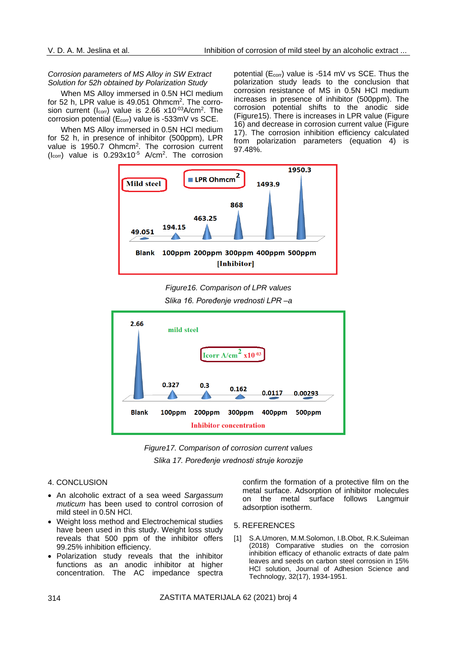# *Corrosion parameters of MS Alloy in SW Extract Solution for 52h obtained by Polarization Study*

When MS Alloy immersed in 0.5N HCl medium for 52 h, LPR value is 49.051 Ohmcm<sup>2</sup>. The corrosion current ( $I_{\text{corr}}$ ) value is 2.66 x10<sup>-03</sup>A/cm<sup>2</sup>. The corrosion potential (E<sub>corr</sub>) value is -533mV vs SCE.

When MS Alloy immersed in 0.5N HCl medium for 52 h, in presence of inhibitor (500ppm), LPR value is 1950.7 Ohmcm<sup>2</sup>. The corrosion current  $(l_{corr})$  value is  $0.293 \times 10^{-5}$  A/cm<sup>2</sup>. The corrosion

potential ( $E_{corr}$ ) value is -514 mV vs SCE. Thus the polarization study leads to the conclusion that corrosion resistance of MS in 0.5N HCl medium increases in presence of inhibitor (500ppm). The corrosion potential shifts to the anodic side (Figure15). There is increases in LPR value (Figure 16) and decrease in corrosion current value (Figure 17). The corrosion inhibition efficiency calculated from polarization parameters (equation 4) is 97.48%.



*Figure16. Comparison of LPR values Slika 16. Poređenje vrednosti LPR –a*



*Figure17. Comparison of corrosion current values Slika 17. Poređenje vrednosti struje korozije*

# 4. CONCLUSION

- An alcoholic extract of a sea weed *Sargassum muticum* has been used to control corrosion of mild steel in 0.5N HCl.
- Weight loss method and Electrochemical studies have been used in this study. Weight loss study reveals that 500 ppm of the inhibitor offers 99.25% inhibition efficiency.
- Polarization study reveals that the inhibitor functions as an anodic inhibitor at higher concentration. The AC impedance spectra

confirm the formation of a protective film on the metal surface. Adsorption of inhibitor molecules on the metal surface follows Langmuir adsorption isotherm.

#### 5. REFERENCES

[1] S.A.Umoren, M.M.Solomon, I.B.Obot, R.K.Suleiman (2018) Comparative studies on the corrosion inhibition efficacy of ethanolic extracts of date palm leaves and seeds on carbon steel corrosion in 15% HCl solution, Journal of Adhesion Science and Technology, 32(17), 1934-1951.